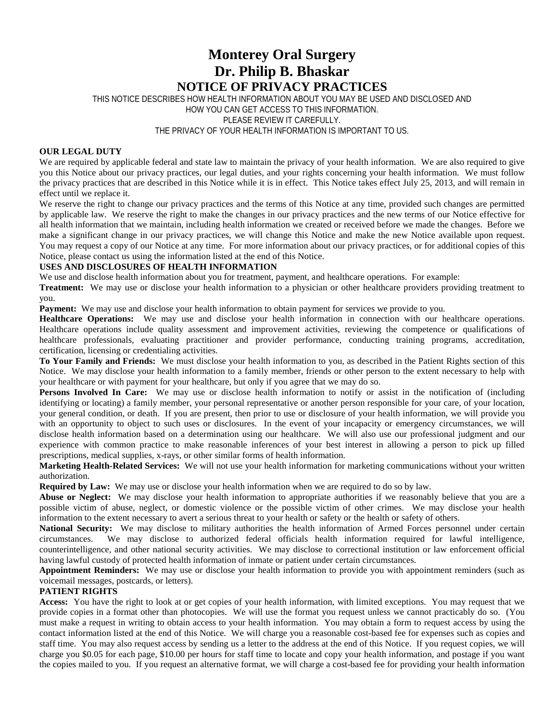# **Monterey Oral Surgery Dr. Philip B. Bhaskar NOTICE OF PRIVACY PRACTICES**

THIS NOTICE DESCRIBES HOW HEALTH INFORMATION ABOUT YOU MAY BE USED AND DISCLOSED AND HOW YOU CAN GET ACCESS TO THIS INFORMATION. PLEASE REVIEW IT CAREFULLY.

THE PRIVACY OF YOUR HEALTH INFORMATION IS IMPORTANT TO US.

### **OUR LEGAL DUTY**

We are required by applicable federal and state law to maintain the privacy of your health information. We are also required to give you this Notice about our privacy practices, our legal duties, and your rights concerning your health information. We must follow the privacy practices that are described in this Notice while it is in effect. This Notice takes effect July 25, 2013, and will remain in effect until we replace it.

We reserve the right to change our privacy practices and the terms of this Notice at any time, provided such changes are permitted by applicable law. We reserve the right to make the changes in our privacy practices and the new terms of our Notice effective for all health information that we maintain, including health information we created or received before we made the changes. Before we make a significant change in our privacy practices, we will change this Notice and make the new Notice available upon request. You may request a copy of our Notice at any time. For more information about our privacy practices, or for additional copies of this Notice, please contact us using the information listed at the end of this Notice.

#### **USES AND DISCLOSURES OF HEALTH INFORMATION**

We use and disclose health information about you for treatment, payment, and healthcare operations. For example:

**Treatment:** We may use or disclose your health information to a physician or other healthcare providers providing treatment to you.

**Payment:** We may use and disclose your health information to obtain payment for services we provide to you.

**Healthcare Operations:** We may use and disclose your health information in connection with our healthcare operations. Healthcare operations include quality assessment and improvement activities, reviewing the competence or qualifications of healthcare professionals, evaluating practitioner and provider performance, conducting training programs, accreditation, certification, licensing or credentialing activities.

**To Your Family and Friends:** We must disclose your health information to you, as described in the Patient Rights section of this Notice. We may disclose your health information to a family member, friends or other person to the extent necessary to help with your healthcare or with payment for your healthcare, but only if you agree that we may do so.

**Persons Involved In Care:** We may use or disclose health information to notify or assist in the notification of (including identifying or locating) a family member, your personal representative or another person responsible for your care, of your location, your general condition, or death. If you are present, then prior to use or disclosure of your health information, we will provide you with an opportunity to object to such uses or disclosures. In the event of your incapacity or emergency circumstances, we will disclose health information based on a determination using our healthcare. We will also use our professional judgment and our experience with common practice to make reasonable inferences of your best interest in allowing a person to pick up filled prescriptions, medical supplies, x-rays, or other similar forms of health information.

**Marketing Health-Related Services:** We will not use your health information for marketing communications without your written authorization.

**Required by Law:** We may use or disclose your health information when we are required to do so by law.

**Abuse or Neglect:** We may disclose your health information to appropriate authorities if we reasonably believe that you are a possible victim of abuse, neglect, or domestic violence or the possible victim of other crimes. We may disclose your health information to the extent necessary to avert a serious threat to your health or safety or the health or safety of others.

**National Security:** We may disclose to military authorities the health information of Armed Forces personnel under certain circumstances. We may disclose to authorized federal officials health information required for lawful intelligence, counterintelligence, and other national security activities. We may disclose to correctional institution or law enforcement official having lawful custody of protected health information of inmate or patient under certain circumstances.

**Appointment Reminders:** We may use or disclose your health information to provide you with appointment reminders (such as voicemail messages, postcards, or letters).

## **PATIENT RIGHTS**

**Access:** You have the right to look at or get copies of your health information, with limited exceptions. You may request that we provide copies in a format other than photocopies. We will use the format you request unless we cannot practicably do so. (You must make a request in writing to obtain access to your health information. You may obtain a form to request access by using the contact information listed at the end of this Notice. We will charge you a reasonable cost-based fee for expenses such as copies and staff time. You may also request access by sending us a letter to the address at the end of this Notice. If you request copies, we will charge you \$0.05 for each page, \$10.00 per hours for staff time to locate and copy your health information, and postage if you want the copies mailed to you. If you request an alternative format, we will charge a cost-based fee for providing your health information